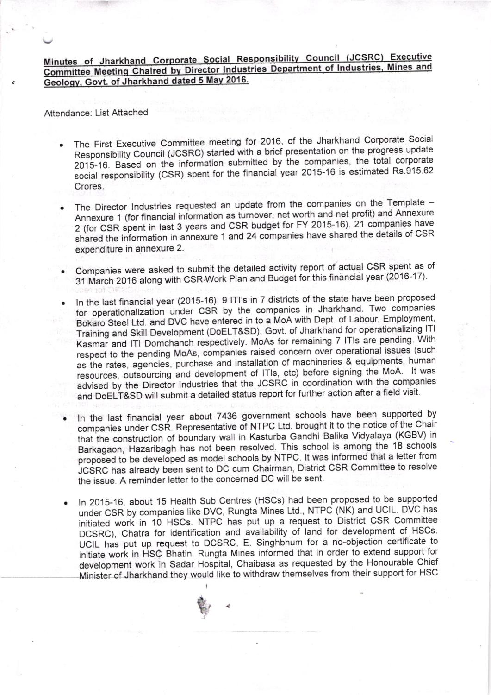Minutes of Jharkhand Corporate Social Responsibility Council (JCSRC) Executive Committee Meeting Chaired by Director Industries Department of Industries, Mines and Geology, Govt. of Jharkhand dated 5 May 2016.

Attendance: List Attached

- The First Executive Committee meeting for 2016, of the Jharkhand Corporate Social Responsibility Council (JCSRC) started with a brief presentation on the progress update 2015-16. Based on the information submitted by the companies, the total corporate social responsibility (CSR) spent for the financial year 2015-16 is estimated Rs.915.62 Crores.
- The Director Industries requested an update from the companies on the Template -Annexure 1 (for financial information as turnover, net worth and net profit) and Annexure 2 (for CSR spent in last 3 years and CSR budget for FY 2015-16). 21 companies have shared the information in annexure 1 and 24 companies have shared the details of CSR expenditure in annexure 2.
- Companies were asked to submit the detailed activity report of actual CSR spent as of 31 March 2016 along with CSR Work Plan and Budget for this financial year (2016-17).
- In the last financial year (2015-16), 9 ITI's in 7 districts of the state have been proposed for operationalization under CSR by the companies in Jharkhand. Two companies Bokaro Steel Ltd. and DVC have entered in to a MoA with Dept. of Labour, Employment, Training and Skill Development (DoELT&SD), Govt. of Jharkhand for operationalizing ITI Kasmar and ITI Domchanch respectively. MoAs for remaining 7 ITIs are pending. With respect to the pending MoAs, companies raised concern over operational issues (such as the rates, agencies, purchase and installation of machineries & equipments, human resources, outsourcing and development of ITIs, etc) before signing the MoA. It was advised by the Director Industries that the JCSRC in coordination with the companies and DoELT&SD will submit a detailed status report for further action after a field visit.
- In the last financial year about 7436 government schools have been supported by companies under CSR. Representative of NTPC Ltd. brought it to the notice of the Chair that the construction of boundary wall in Kasturba Gandhi Balika Vidyalaya (KGBV) in Barkagaon, Hazaribagh has not been resolved. This school is among the 18 schools proposed to be developed as model schools by NTPC. It was informed that a letter from JCSRC has already been sent to DC cum Chairman, District CSR Committee to resolve the issue. A reminder letter to the concerned DC will be sent.
- In 2015-16, about 15 Health Sub Centres (HSCs) had been proposed to be supported under CSR by companies like DVC, Rungta Mines Ltd., NTPC (NK) and UCIL. DVC has initiated work in 10 HSCs. NTPC has put up a request to District CSR Committee DCSRC), Chatra for identification and availability of land for development of HSCs. UCIL has put up request to DCSRC, E. Singhbhum for a no-objection certificate to initiate work in HSC Bhatin. Rungta Mines informed that in order to extend support for development work in Sadar Hospital, Chaibasa as requested by the Honourable Chief Minister of Jharkhand they would like to withdraw themselves from their support for HSC